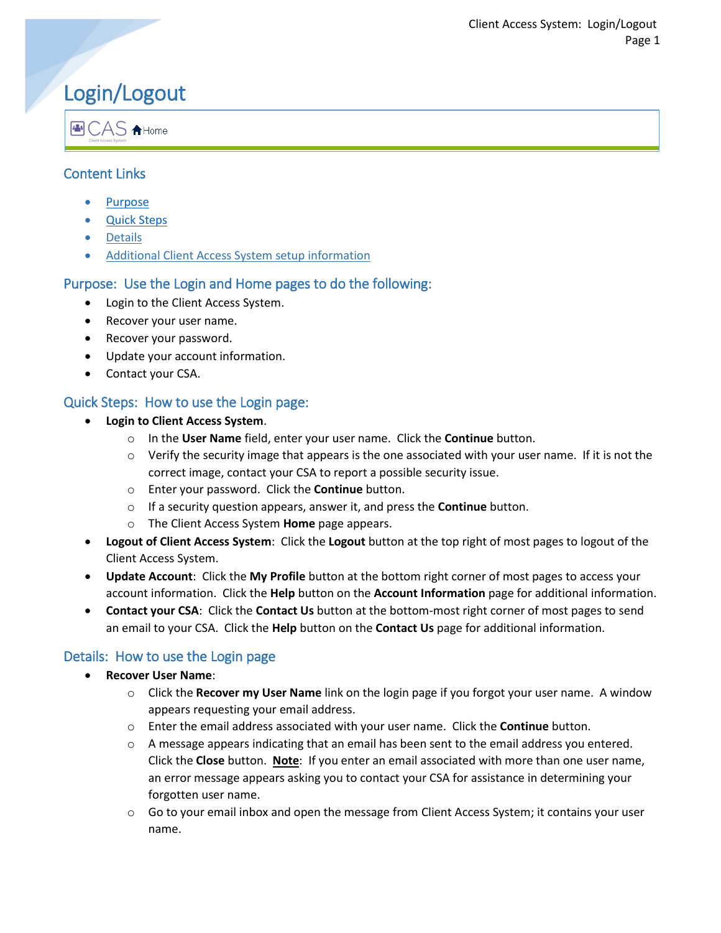# Login/Logout

图 CAS A Home

# Content Links

- **[Purpose](#page-0-0)**
- [Quick Steps](#page-0-1)
- [Details](#page-0-2)
- [Additional Client Access System](#page-1-0) setup information

# <span id="page-0-0"></span>Purpose: Use the Login and Home pages to do the following:

- Login to the Client Access System.
- Recover your user name.
- Recover your password.
- Update your account information.
- Contact your CSA.

## <span id="page-0-1"></span>Quick Steps: How to use the Login page:

- **Login to Client Access System**.
	- o In the **User Name** field, enter your user name. Click the **Continue** button.
	- $\circ$  Verify the security image that appears is the one associated with your user name. If it is not the correct image, contact your CSA to report a possible security issue.
	- o Enter your password. Click the **Continue** button.
	- o If a security question appears, answer it, and press the **Continue** button.
	- o The Client Access System **Home** page appears.
- **Logout of Client Access System**: Click the **Logout** button at the top right of most pages to logout of the Client Access System.
- **Update Account**: Click the **My Profile** button at the bottom right corner of most pages to access your account information. Click the **Help** button on the **Account Information** page for additional information.
- **Contact your CSA**: Click the **Contact Us** button at the bottom-most right corner of most pages to send an email to your CSA. Click the **Help** button on the **Contact Us** page for additional information.

### <span id="page-0-2"></span>Details: How to use the Login page

- **Recover User Name**:
	- o Click the **Recover my User Name** link on the login page if you forgot your user name. A window appears requesting your email address.
	- o Enter the email address associated with your user name. Click the **Continue** button.
	- o A message appears indicating that an email has been sent to the email address you entered. Click the **Close** button. **Note**: If you enter an email associated with more than one user name, an error message appears asking you to contact your CSA for assistance in determining your forgotten user name.
	- $\circ$  Go to your email inbox and open the message from Client Access System; it contains your user name.